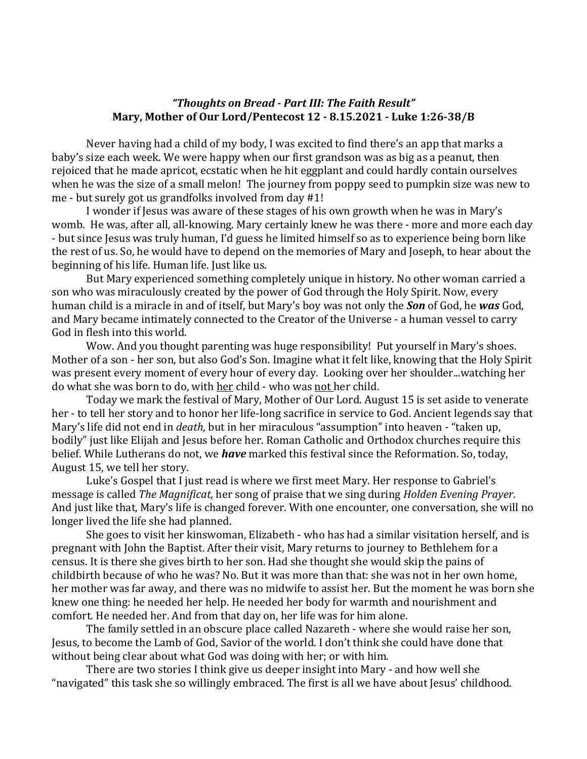## "Thoughts on Bread - Part III: The Faith Result" **Mary, Mother of Our Lord/Pentecost 12 - 8.15.2021 - Luke 1:26-38/B**

Never having had a child of my body, I was excited to find there's an app that marks a baby's size each week. We were happy when our first grandson was as big as a peanut, then rejoiced that he made apricot, ecstatic when he hit eggplant and could hardly contain ourselves when he was the size of a small melon! The journey from poppy seed to pumpkin size was new to me - but surely got us grandfolks involved from day  $#1!$ 

I wonder if Jesus was aware of these stages of his own growth when he was in Mary's womb. He was, after all, all-knowing. Mary certainly knew he was there - more and more each day - but since Jesus was truly human, I'd guess he limited himself so as to experience being born like the rest of us. So, he would have to depend on the memories of Mary and Joseph, to hear about the beginning of his life. Human life. Just like us.

But Mary experienced something completely unique in history. No other woman carried a son who was miraculously created by the power of God through the Holy Spirit. Now, every human child is a miracle in and of itself, but Mary's boy was not only the **Son** of God, he was God, and Mary became intimately connected to the Creator of the Universe - a human vessel to carry God in flesh into this world.

Wow. And you thought parenting was huge responsibility! Put yourself in Mary's shoes. Mother of a son - her son, but also God's Son. Imagine what it felt like, knowing that the Holy Spirit was present every moment of every hour of every day. Looking over her shoulder...watching her do what she was born to do, with her child - who was not her child.

Today we mark the festival of Mary, Mother of Our Lord. August 15 is set aside to venerate her - to tell her story and to honor her life-long sacrifice in service to God. Ancient legends say that Mary's life did not end in *death*, but in her miraculous "assumption" into heaven - "taken up, bodily" just like Elijah and Jesus before her. Roman Catholic and Orthodox churches require this belief. While Lutherans do not, we *have* marked this festival since the Reformation. So, today, August 15, we tell her story.

Luke's Gospel that I just read is where we first meet Mary. Her response to Gabriel's message is called *The Magnificat*, her song of praise that we sing during *Holden Evening Prayer*. And just like that, Mary's life is changed forever. With one encounter, one conversation, she will no longer lived the life she had planned.

She goes to visit her kinswoman, Elizabeth - who has had a similar visitation herself, and is pregnant with John the Baptist. After their visit, Mary returns to journey to Bethlehem for a census. It is there she gives birth to her son. Had she thought she would skip the pains of childbirth because of who he was? No. But it was more than that: she was not in her own home, her mother was far away, and there was no midwife to assist her. But the moment he was born she knew one thing: he needed her help. He needed her body for warmth and nourishment and comfort. He needed her. And from that day on, her life was for him alone.

The family settled in an obscure place called Nazareth - where she would raise her son, Jesus, to become the Lamb of God, Savior of the world. I don't think she could have done that without being clear about what God was doing with her; or with him.

There are two stories I think give us deeper insight into Mary - and how well she "navigated" this task she so willingly embraced. The first is all we have about Jesus' childhood.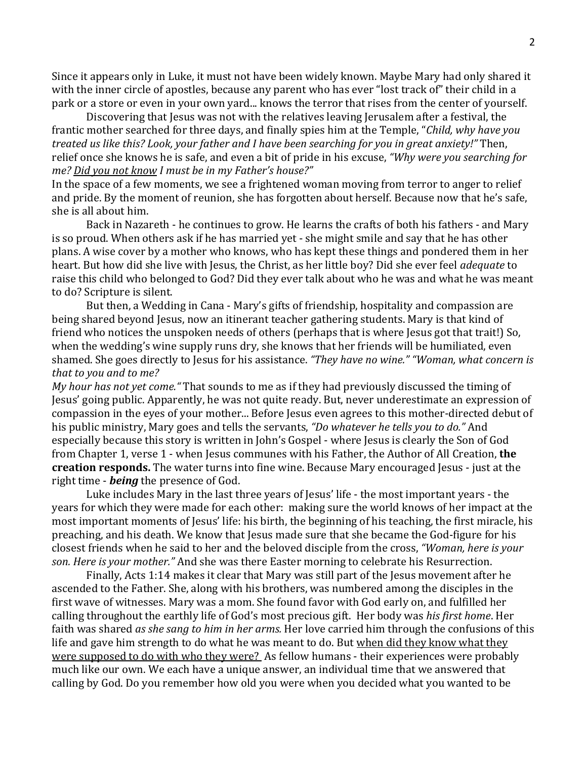Since it appears only in Luke, it must not have been widely known. Maybe Mary had only shared it with the inner circle of apostles, because any parent who has ever "lost track of" their child in a park or a store or even in your own yard... knows the terror that rises from the center of yourself.

Discovering that Jesus was not with the relatives leaving Jerusalem after a festival, the frantic mother searched for three days, and finally spies him at the Temple, "*Child, why have you treated us like this? Look, your father and I have been searching for you in great anxiety!"* Then, relief once she knows he is safe, and even a bit of pride in his excuse, "Why were you searching for *me? Did you not know I must be in my Father's house?"*

In the space of a few moments, we see a frightened woman moving from terror to anger to relief and pride. By the moment of reunion, she has forgotten about herself. Because now that he's safe, she is all about him.

Back in Nazareth - he continues to grow. He learns the crafts of both his fathers - and Mary is so proud. When others ask if he has married yet - she might smile and say that he has other plans. A wise cover by a mother who knows, who has kept these things and pondered them in her heart. But how did she live with Jesus, the Christ, as her little boy? Did she ever feel *adequate* to raise this child who belonged to God? Did they ever talk about who he was and what he was meant to do? Scripture is silent.

But then, a Wedding in Cana - Mary's gifts of friendship, hospitality and compassion are being shared beyond Jesus, now an itinerant teacher gathering students. Mary is that kind of friend who notices the unspoken needs of others (perhaps that is where Jesus got that trait!) So, when the wedding's wine supply runs dry, she knows that her friends will be humiliated, even shamed. She goes directly to Jesus for his assistance. "They have no wine." "Woman, what concern is *that to you and to me?* 

*My hour has not yet come.*" That sounds to me as if they had previously discussed the timing of Jesus' going public. Apparently, he was not quite ready. But, never underestimate an expression of compassion in the eyes of your mother... Before Jesus even agrees to this mother-directed debut of his public ministry, Mary goes and tells the servants, "Do whatever he tells you to do." And especially because this story is written in John's Gospel - where Jesus is clearly the Son of God from Chapter 1, verse 1 - when Jesus communes with his Father, the Author of All Creation, the creation responds. The water turns into fine wine. Because Mary encouraged Jesus - just at the right time - *being* the presence of God.

Luke includes Mary in the last three years of Jesus' life - the most important years - the years for which they were made for each other: making sure the world knows of her impact at the most important moments of Jesus' life: his birth, the beginning of his teaching, the first miracle, his preaching, and his death. We know that Jesus made sure that she became the God-figure for his closest friends when he said to her and the beloved disciple from the cross, "Woman, here is your *son. Here is your mother.*" And she was there Easter morning to celebrate his Resurrection.

Finally, Acts 1:14 makes it clear that Mary was still part of the Jesus movement after he ascended to the Father. She, along with his brothers, was numbered among the disciples in the first wave of witnesses. Mary was a mom. She found favor with God early on, and fulfilled her calling throughout the earthly life of God's most precious gift. Her body was his first home. Her faith was shared *as she sang to him in her arms.* Her love carried him through the confusions of this life and gave him strength to do what he was meant to do. But when did they know what they were supposed to do with who they were? As fellow humans - their experiences were probably much like our own. We each have a unique answer, an individual time that we answered that calling by God. Do you remember how old you were when you decided what you wanted to be